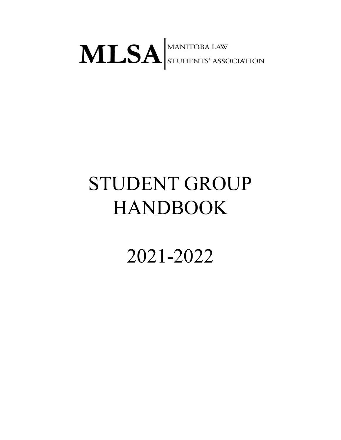# MLSA STUDENTS' ASSOCIATION

# STUDENT GROUP HANDBOOK

2021-2022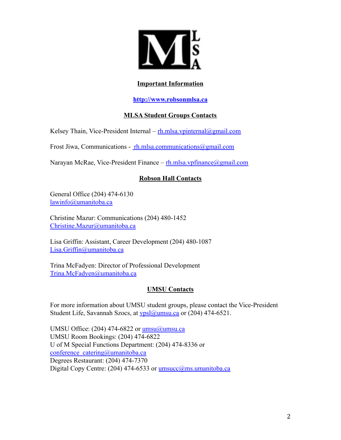

# **Important Information**

**<http://www.robsonmlsa.ca>**

# **MLSA Student Groups Contacts**

Kelsey Thain, Vice-President Internal –  $r$ h.mlsa.vpinternal@gmail.com

Frost Jiwa, Communications - [rh.mlsa.communications@gmail.com](mailto:%20rh.mlsa.communications@gmail.com)

Narayan McRae, Vice-President Finance – [rh.mlsa.vpfinance@gmail.com](mailto:rh.mlsa.vpfinance@gmail.com)

# **Robson Hall Contacts**

General Office (204) 474-6130 [lawinfo@umanitoba.ca](mailto:lawinfo@umanitoba.ca)

Christine Mazur: Communications (204) 480-1452 [Christine.Mazur@umanitoba.ca](mailto:Christine.Mazur@umanitoba.ca)

Lisa Griffin: Assistant, Career Development (204) 480-1087 [Lisa.Griffin@umanitoba.ca](mailto:Lisa.Griffin@umanitoba.ca)

Trina McFadyen: Director of Professional Development [Trina.McFadyen@umanitoba.ca](mailto:Trina.McFadyen@umanitoba.ca)

# **UMSU Contacts**

For more information about UMSU student groups, please contact the Vice-President Student Life, Savannah Szocs, at ypsl@umsu.ca or (204) 474-6521.

UMSU Office:  $(204)$  474-6822 or umsu $@$ umsu.ca UMSU Room Bookings: (204) 474-6822 U of M Special Functions Department: (204) 474-8336 or conference catering@umanitoba.ca Degrees Restaurant: (204) 474-7370 Digital Copy Centre: (204) 474-6533 or [umsucc@ms.umanitoba.ca](mailto:umsucc@ms.umanitoba.ca)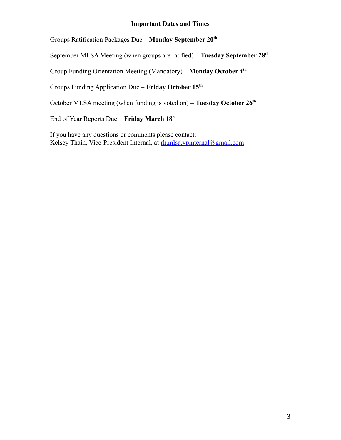# **Important Dates and Times**

Groups Ratification Packages Due – **Monday September 20th**

September MLSA Meeting (when groups are ratified) – **Tuesday September 28th**

Group Funding Orientation Meeting (Mandatory) – **Monday October 4th**

Groups Funding Application Due – **Friday October 15th**

October MLSA meeting (when funding is voted on) – **Tuesday October 26th**

End of Year Reports Due – **Friday March 18<sup>h</sup>**

If you have any questions or comments please contact: Kelsey Thain, Vice-President Internal, at [rh.mlsa.vpinternal@gmail.com](mailto:rh.mlsa.vpinternal@gmail.com)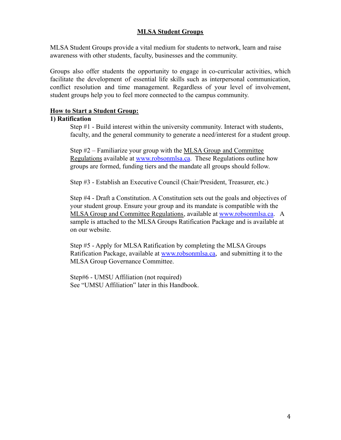# **MLSA Student Groups**

MLSA Student Groups provide a vital medium for students to network, learn and raise awareness with other students, faculty, businesses and the community.

Groups also offer students the opportunity to engage in co-curricular activities, which facilitate the development of essential life skills such as interpersonal communication, conflict resolution and time management. Regardless of your level of involvement, student groups help you to feel more connected to the campus community.

#### **How to Start a Student Group:**

#### **1) Ratification**

Step #1 - Build interest within the university community. Interact with students, faculty, and the general community to generate a need/interest for a student group.

Step #2 – Familiarize your group with the MLSA Group and Committee Regulations available at [www.robsonmlsa.ca](http://www.robsonmlsa.ca). These Regulations outline how groups are formed, funding tiers and the mandate all groups should follow.

Step #3 - Establish an Executive Council (Chair/President, Treasurer, etc.)

Step #4 - Draft a Constitution. A Constitution sets out the goals and objectives of your student group. Ensure your group and its mandate is compatible with the MLSA Group and Committee Regulations, available at [www.robsonmlsa.ca](http://www.robsonmlsa.ca). A sample is attached to the MLSA Groups Ratification Package and is available at on our website.

Step #5 - Apply for MLSA Ratification by completing the MLSA Groups Ratification Package, available at [www.robsonmlsa.ca,](http://www.robsonmlsa.ca) and submitting it to the MLSA Group Governance Committee.

Step#6 - UMSU Affiliation (not required) See "UMSU Affiliation" later in this Handbook.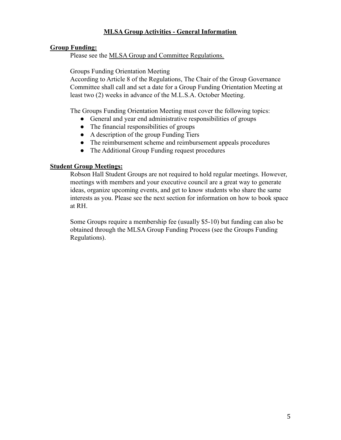# **MLSA Group Activities - General Information**

# **Group Funding:**

Please see the MLSA Group and Committee Regulations.

Groups Funding Orientation Meeting

According to Article 8 of the Regulations, The Chair of the Group Governance Committee shall call and set a date for a Group Funding Orientation Meeting at least two (2) weeks in advance of the M.L.S.A. October Meeting.

The Groups Funding Orientation Meeting must cover the following topics:

- General and year end administrative responsibilities of groups
- The financial responsibilities of groups
- A description of the group Funding Tiers
- The reimbursement scheme and reimbursement appeals procedures
- The Additional Group Funding request procedures

# **Student Group Meetings:**

Robson Hall Student Groups are not required to hold regular meetings. However, meetings with members and your executive council are a great way to generate ideas, organize upcoming events, and get to know students who share the same interests as you. Please see the next section for information on how to book space at RH.

Some Groups require a membership fee (usually \$5-10) but funding can also be obtained through the MLSA Group Funding Process (see the Groups Funding Regulations).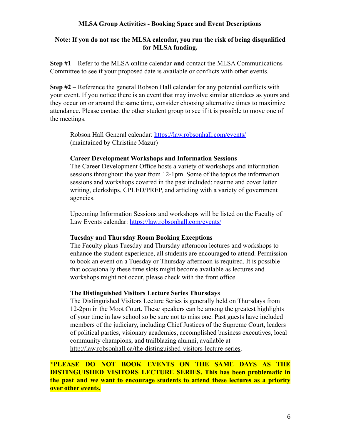# **MLSA Group Activities - Booking Space and Event Descriptions**

#### **Note: If you do not use the MLSA calendar, you run the risk of being disqualified for MLSA funding.**

**Step #1** – Refer to the MLSA online calendar **and** contact the MLSA Communications Committee to see if your proposed date is available or conflicts with other events.

**Step #2** – Reference the general Robson Hall calendar for any potential conflicts with your event. If you notice there is an event that may involve similar attendees as yours and they occur on or around the same time, consider choosing alternative times to maximize attendance. Please contact the other student group to see if it is possible to move one of the meetings.

Robson Hall General calendar: <https://law.robsonhall.com/events/> (maintained by Christine Mazur)

#### **Career Development Workshops and Information Sessions**

The Career Development Office hosts a variety of workshops and information sessions throughout the year from 12-1pm. Some of the topics the information sessions and workshops covered in the past included: resume and cover letter writing, clerkships, CPLED/PREP, and articling with a variety of government agencies.

Upcoming Information Sessions and workshops will be listed on the Faculty of Law Events calendar: <https://law.robsonhall.com/events/>

# **Tuesday and Thursday Room Booking Exceptions**

The Faculty plans Tuesday and Thursday afternoon lectures and workshops to enhance the student experience, all students are encouraged to attend. Permission to book an event on a Tuesday or Thursday afternoon is required. It is possible that occasionally these time slots might become available as lectures and workshops might not occur, please check with the front office.

# **The Distinguished Visitors Lecture Series Thursdays**

The Distinguished Visitors Lecture Series is generally held on Thursdays from 12-2pm in the Moot Court. These speakers can be among the greatest highlights of your time in law school so be sure not to miss one. Past guests have included members of the judiciary, including Chief Justices of the Supreme Court, leaders of political parties, visionary academics, accomplished business executives, local community champions, and trailblazing alumni, available at [http://law.robsonhall.ca/the-distinguished-visitors-lecture-series.](http://law.robsonhall.ca/the-distinguished-visitors-lecture-series)

**\*PLEASE DO NOT BOOK EVENTS ON THE SAME DAYS AS THE DISTINGUISHED VISITORS LECTURE SERIES. This has been problematic in the past and we want to encourage students to attend these lectures as a priority over other events.**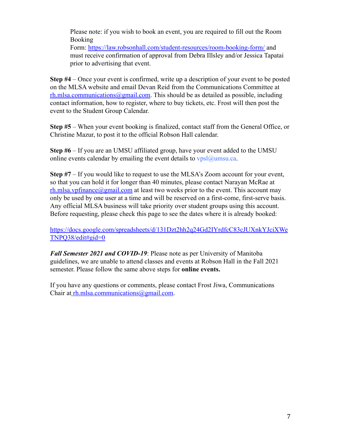Please note: if you wish to book an event, you are required to fill out the Room Booking

Form: <https://law.robsonhall.com/student-resources/room-booking-form/> and must receive confirmation of approval from Debra Illsley and/or Jessica Tapatai prior to advertising that event.

**Step #4** – Once your event is confirmed, write up a description of your event to be posted on the MLSA website and email Devan Reid from the Communications Committee at  $rh.mlsa. communications@gmail.com$ . This should be as detailed as possible, including contact information, how to register, where to buy tickets, etc. Frost will then post the event to the Student Group Calendar.

**Step #5** – When your event booking is finalized, contact staff from the General Office, or Christine Mazur, to post it to the official Robson Hall calendar.

**Step #6** – If you are an UMSU affiliated group, have your event added to the UMSU online events calendar by emailing the event details to  $vpsl@umsu.ca.$ 

**Step #7** – If you would like to request to use the MLSA's Zoom account for your event, so that you can hold it for longer than 40 minutes, please contact Narayan McRae at  $rh.mlsa.vpfinance@gmail.com$  at least two weeks prior to the event. This account may only be used by one user at a time and will be reserved on a first-come, first-serve basis. Any official MLSA business will take priority over student groups using this account. Before requesting, please check this page to see the dates where it is already booked:

[https://docs.google.com/spreadsheets/d/131Dzt2hh2q24Gd2IYrdfcC83cJUXnkYJciXWe](https://docs.google.com/spreadsheets/d/131Dzt2hh2q24Gd2IYrdfcC83cJUXnkYJciXWeTNPQ38/edit#gid=0) [TNPQ38/edit#gid=0](https://docs.google.com/spreadsheets/d/131Dzt2hh2q24Gd2IYrdfcC83cJUXnkYJciXWeTNPQ38/edit#gid=0)

*Fall Semester 2021 and COVID-19*: Please note as per University of Manitoba guidelines, we are unable to attend classes and events at Robson Hall in the Fall 2021 semester. Please follow the same above steps for **online events.**

If you have any questions or comments, please contact Frost Jiwa, Communications Chair at [rh.mlsa.communications@gmail.com](mailto:%20rh.mlsa.communications@gmail.com).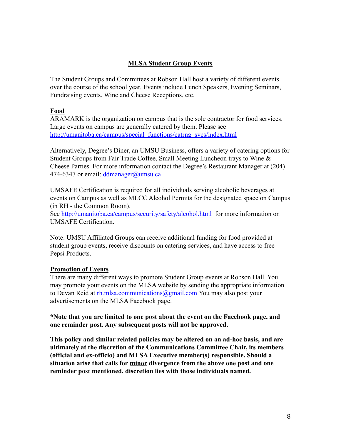# **MLSA Student Group Events**

The Student Groups and Committees at Robson Hall host a variety of different events over the course of the school year. Events include Lunch Speakers, Evening Seminars, Fundraising events, Wine and Cheese Receptions, etc.

# **Food**

ARAMARK is the organization on campus that is the sole contractor for food services. Large events on campus are generally catered by them. Please see [http://umanitoba.ca/campus/special\\_functions/catrng\\_svcs/index.html](http://umanitoba.ca/campus/special_functions/catrng_svcs/index.html)

Alternatively, Degree's Diner, an UMSU Business, offers a variety of catering options for Student Groups from Fair Trade Coffee, Small Meeting Luncheon trays to Wine & Cheese Parties. For more information contact the Degree's Restaurant Manager at (204) 474-6347 or email: ddmanager@umsu.ca

UMSAFE Certification is required for all individuals serving alcoholic beverages at events on Campus as well as MLCC Alcohol Permits for the designated space on Campus (in RH - the Common Room).

See <http://umanitoba.ca/campus/security/safety/alcohol.html> for more information on UMSAFE Certification.

Note: UMSU Affiliated Groups can receive additional funding for food provided at student group events, receive discounts on catering services, and have access to free Pepsi Products.

# **Promotion of Events**

There are many different ways to promote Student Group events at Robson Hall. You may promote your events on the MLSA website by sending the appropriate information to Devan Reid at [rh.mlsa.communications@gmail.com](mailto:%20rh.mlsa.communications@gmail.com) You may also post your advertisements on the MLSA Facebook page.

**\*Note that you are limited to one post about the event on the Facebook page, and one reminder post. Any subsequent posts will not be approved.**

**This policy and similar related policies may be altered on an ad-hoc basis, and are ultimately at the discretion of the Communications Committee Chair, its members (official and ex-officio) and MLSA Executive member(s) responsible. Should a situation arise that calls for minor divergence from the above one post and one reminder post mentioned, discretion lies with those individuals named.**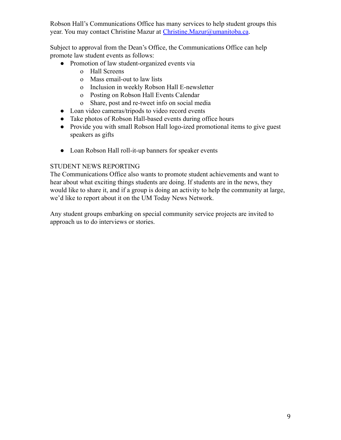Robson Hall's Communications Office has many services to help student groups this year. You may contact Christine Mazur at [Christine.Mazur@umanitoba.ca](mailto:Christine.Mazur@umanitoba.ca).

Subject to approval from the Dean's Office, the Communications Office can help promote law student events as follows:

- Promotion of law student-organized events via
	- o Hall Screens
	- o Mass email-out to law lists
	- o Inclusion in weekly Robson Hall E-newsletter
	- o Posting on Robson Hall Events Calendar
	- o Share, post and re-tweet info on social media
- Loan video cameras/tripods to video record events
- Take photos of Robson Hall-based events during office hours
- Provide you with small Robson Hall logo-ized promotional items to give guest speakers as gifts
- Loan Robson Hall roll-it-up banners for speaker events

# STUDENT NEWS REPORTING

The Communications Office also wants to promote student achievements and want to hear about what exciting things students are doing. If students are in the news, they would like to share it, and if a group is doing an activity to help the community at large, we'd like to report about it on the UM Today News Network.

Any student groups embarking on special community service projects are invited to approach us to do interviews or stories.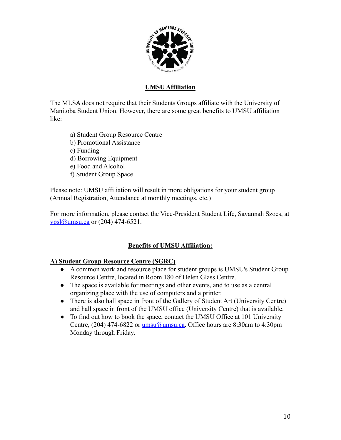

# **UMSU Affiliation**

The MLSA does not require that their Students Groups affiliate with the University of Manitoba Student Union. However, there are some great benefits to UMSU affiliation like:

- a) Student Group Resource Centre
- b) Promotional Assistance
- c) Funding
- d) Borrowing Equipment
- e) Food and Alcohol
- f) Student Group Space

Please note: UMSU affiliation will result in more obligations for your student group (Annual Registration, Attendance at monthly meetings, etc.)

For more information, please contact the Vice-President Student Life, Savannah Szocs, at  $vpsl@$ umsu.ca or (204) 474-6521.

# **Benefits of UMSU Affiliation:**

# **A) Student Group Resource Centre (SGRC)**

- A common work and resource place for student groups is UMSU's Student Group Resource Centre, located in Room 180 of Helen Glass Centre.
- The space is available for meetings and other events, and to use as a central organizing place with the use of computers and a printer.
- There is also hall space in front of the Gallery of Student Art (University Centre) and hall space in front of the UMSU office (University Centre) that is available.
- To find out how to book the space, contact the UMSU Office at 101 University Centre, (204) 474-6822 or  $\frac{\text{umsu}(\alpha) \text{umsu}(\alpha)}{\alpha}$ . Office hours are 8:30am to 4:30pm Monday through Friday.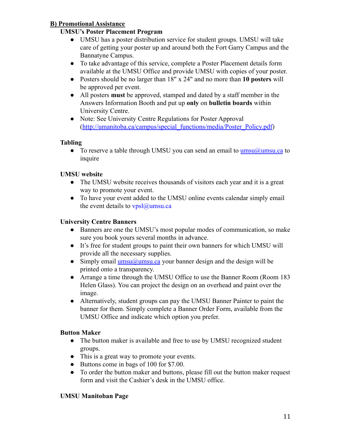# **B) Promotional Assistance**

# **UMSU's Poster Placement Program**

- UMSU has a poster distribution service for student groups. UMSU will take care of getting your poster up and around both the Fort Garry Campus and the Bannatyne Campus.
- To take advantage of this service, complete a Poster Placement details form available at the UMSU Office and provide UMSU with copies of your poster.
- Posters should be no larger than 18" x 24" and no more than **10 posters** will be approved per event.
- All posters **must** be approved, stamped and dated by a staff member in the Answers Information Booth and put up **only** on **bulletin boards** within University Centre.
- Note: See University Centre Regulations for Poster Approval ([http://umanitoba.ca/campus/special\\_functions/media/Poster\\_Policy.pdf](http://umanitoba.ca/campus/special_functions/media/Poster_Policy.pdf))

# **Tabling**

• To reserve a table through UMSU you can send an email to  $\frac{umsu(a)umsu.ca}{cuusu.ca}$ inquire

# **UMSU website**

- The UMSU website receives thousands of visitors each year and it is a great way to promote your event.
- To have your event added to the UMSU online events calendar simply email the event details to  $vpsl@$ umsu.ca

# **University Centre Banners**

- Banners are one the UMSU's most popular modes of communication, so make sure you book yours several months in advance.
- It's free for student groups to paint their own banners for which UMSU will provide all the necessary supplies.
- Simply email *[umsu@umsu.ca](mailto:umsu@umsu.ca)* your banner design and the design will be printed onto a transparency.
- Arrange a time through the UMSU Office to use the Banner Room (Room 183) Helen Glass). You can project the design on an overhead and paint over the image.
- Alternatively, student groups can pay the UMSU Banner Painter to paint the banner for them. Simply complete a Banner Order Form, available from the UMSU Office and indicate which option you prefer.

# **Button Maker**

- The button maker is available and free to use by UMSU recognized student groups.
- This is a great way to promote your events.
- Buttons come in bags of 100 for \$7.00.
- To order the button maker and buttons, please fill out the button maker request form and visit the Cashier's desk in the UMSU office.

# **UMSU Manitoban Page**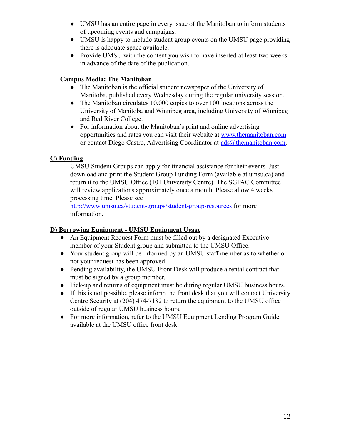- UMSU has an entire page in every issue of the Manitoban to inform students of upcoming events and campaigns.
- UMSU is happy to include student group events on the UMSU page providing there is adequate space available.
- Provide UMSU with the content you wish to have inserted at least two weeks in advance of the date of the publication.

# **Campus Media: The Manitoban**

- The Manitoban is the official student newspaper of the University of Manitoba, published every Wednesday during the regular university session.
- The Manitoban circulates 10,000 copies to over 100 locations across the University of Manitoba and Winnipeg area, including University of Winnipeg and Red River College.
- For information about the Manitoban's print and online advertising opportunities and rates you can visit their website at [www.themanitoban.com](http://www.themanitoban.com) or contact Diego Castro, Advertising Coordinator at  $\frac{ads(\omega)$ themanitoban.com.

# **C) Funding**

UMSU Student Groups can apply for financial assistance for their events. Just download and print the Student Group Funding Form (available at umsu.ca) and return it to the UMSU Office (101 University Centre). The SGPAC Committee will review applications approximately once a month. Please allow 4 weeks processing time. Please see

<http://www.umsu.ca/student-groups/student-group-resources> for more information.

# **D) Borrowing Equipment - UMSU Equipment Usage**

- An Equipment Request Form must be filled out by a designated Executive member of your Student group and submitted to the UMSU Office.
- Your student group will be informed by an UMSU staff member as to whether or not your request has been approved.
- Pending availability, the UMSU Front Desk will produce a rental contract that must be signed by a group member.
- Pick-up and returns of equipment must be during regular UMSU business hours.
- If this is not possible, please inform the front desk that you will contact University Centre Security at (204) 474-7182 to return the equipment to the UMSU office outside of regular UMSU business hours.
- For more information, refer to the UMSU Equipment Lending Program Guide available at the UMSU office front desk.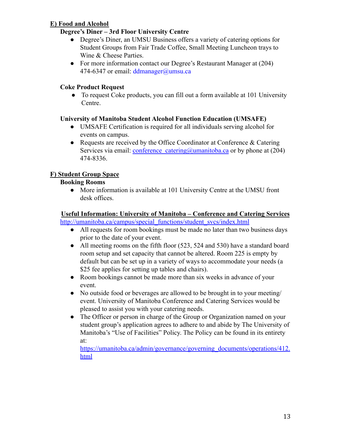# **E) Food and Alcohol**

# **Degree's Diner – 3rd Floor University Centre**

- Degree's Diner, an UMSU Business offers a variety of catering options for Student Groups from Fair Trade Coffee, Small Meeting Luncheon trays to Wine & Cheese Parties.
- For more information contact our Degree's Restaurant Manager at (204) 474-6347 or email:  $ddmanager@umsu.ca$

# **Coke Product Request**

• To request Coke products, you can fill out a form available at 101 University Centre.

# **University of Manitoba Student Alcohol Function Education (UMSAFE)**

- UMSAFE Certification is required for all individuals serving alcohol for events on campus.
- Requests are received by the Office Coordinator at Conference & Catering Services via email: conference catering@umanitoba.ca or by phone at (204) 474-8336.

# **F) Student Group Space**

# **Booking Rooms**

• More information is available at 101 University Centre at the UMSU front desk offices.

#### **Useful Information: University of Manitoba – Conference and Catering Services** [http://umanitoba.ca/campus/special\\_functions/student\\_svcs/index.html](http://umanitoba.ca/campus/special_functions/student_svcs/index.html)

- All requests for room bookings must be made no later than two business days prior to the date of your event.
- All meeting rooms on the fifth floor (523, 524 and 530) have a standard board room setup and set capacity that cannot be altered. Room 225 is empty by default but can be set up in a variety of ways to accommodate your needs (a \$25 fee applies for setting up tables and chairs).
- Room bookings cannot be made more than six weeks in advance of your event.
- No outside food or beverages are allowed to be brought in to your meeting/ event. University of Manitoba Conference and Catering Services would be pleased to assist you with your catering needs.
- The Officer or person in charge of the Group or Organization named on your student group's application agrees to adhere to and abide by The University of Manitoba's "Use of Facilities" Policy. The Policy can be found in its entirety at:

[https://umanitoba.ca/admin/governance/governing\\_documents/operations/412.](https://umanitoba.ca/admin/governance/governing_documents/operations/412.html) [html](https://umanitoba.ca/admin/governance/governing_documents/operations/412.html)